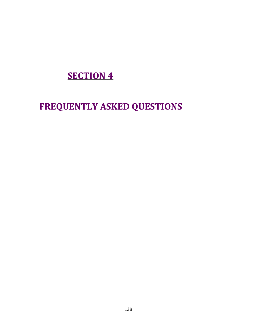## **SECTION 4**

# FREQUENTLY ASKED QUESTIONS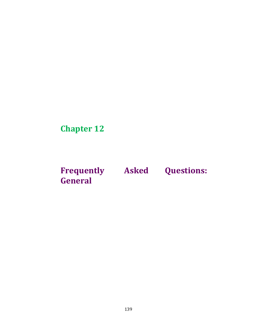Chapter 12

Frequently Asked Questions: General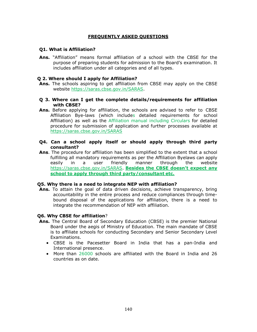## FREQUENTLY ASKED QUESTIONS

## Q1. What is Affiliation?

Ans. "Affiliation" means formal affiliation of a school with the CBSE for the purpose of preparing students for admission to the Board's examination. It includes affiliation under all categories and of all types.

## Q 2. Where should I apply for Affiliation?

- Ans. The schools aspiring to get affiliation from CBSE may apply on the CBSE website https://saras.cbse.gov.in/SARAS.
- Q 3. Where can I get the complete details/requirements for affiliation with CBSE?
- Ans. Before applying for affiliation, the schools are advised to refer to CBSE Affiliation Bye-laws (which includes detailed requirements for school Affiliation) as well as the Affiliation manual including Circulars for detailed procedure for submission of application and further processes available at https://saras.cbse.gov.in/SARAS
- Q4. Can a school apply itself or should apply through third party consultant?
- Ans. The procedure for affiliation has been simplified to the extent that a school fulfilling all mandatory requirements as per the Affiliation Byelaws can apply easily in a user friendly manner through the website https://saras.cbse.gov.in/SARAS. Besides the CBSE doesn't expect any school to apply through third party/consultant etc.

## Q5. Why there is a need to integrate NEP with affiliation?

Ans. To attain the goal of data driven decisions, achieve transparency, bring accountability in the entire process and reduce compliances through timebound disposal of the applications for affiliation, there is a need to integrate the recommendation of NEP with affiliation.

## Q6. Why CBSE for affiliation?

- Ans. The Central Board of Secondary Education (CBSE) is the premier National Board under the aegis of Ministry of Education. The main mandate of CBSE is to affiliate schools for conducting Secondary and Senior Secondary Level Examinations.
	- CBSE is the Pacesetter Board in India that has a pan-India and International presence.
	- More than 26000 schools are affiliated with the Board in India and 26 countries as on date.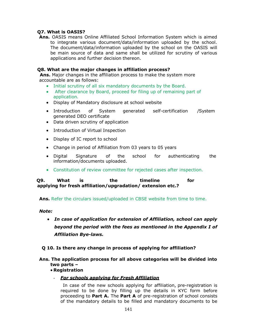## Q7. What is OASIS?

Ans. OASIS means Online Affiliated School Information System which is aimed to integrate various document/data/information uploaded by the school. The document/data/information uploaded by the school on the OASIS will be main source of data and same shall be utilized for scrutiny of various applications and further decision thereon.

## Q8. What are the major changes in affiliation process?

Ans. Major changes in the affiliation process to make the system more accountable are as follows:

- Initial scrutiny of all six mandatory documents by the Board.
- After clearance by Board, proceed for filing up of remaining part of application.
- Display of Mandatory disclosure at school website
- Introduction of System generated self-certification /System generated DEO certificate
- Data driven scrutiny of application
- Introduction of Virtual Inspection
- Display of IC report to school
- Change in period of Affiliation from 03 years to 05 years
- Digital Signature of the school for authenticating the information/documents uploaded.
- Constitution of review committee for rejected cases after inspection.

 Q9. What is the timeline for applying for fresh affiliation/upgradation/ extension etc.?

Ans. Refer the circulars issued/uploaded in CBSE website from time to time.

## Note:

 In case of application for extension of Affiliation, school can apply beyond the period with the fees as mentioned in the Appendix I of Affiliation Bye-laws.

## Q 10. Is there any change in process of applying for affiliation?

## Ans. The application process for all above categories will be divided into two parts –

## Registration

**For schools applying for Fresh Affiliation** 

 In case of the new schools applying for affiliation, pre-registration is required to be done by filling up the details in KYC form before proceeding to Part A. The Part A of pre-registration of school consists of the mandatory details to be filled and mandatory documents to be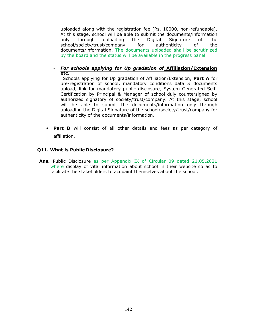uploaded along with the registration fee (Rs. 10000, non-refundable). At this stage, school will be able to submit the documents/information only through uploading the Digital Signature of the school/society/trust/company for authenticity of the documents/information. The documents uploaded shall be scrutinized by the board and the status will be available in the progress panel.

- For schools applying for Up gradation of Affiliation/Extension etc.

Schools applying for Up gradation of Affiliation/Extension, Part A for pre-registration of school, mandatory conditions data & documents upload, link for mandatory public disclosure, System Generated Self-Certification by Principal & Manager of school duly countersigned by authorized signatory of society/trust/company. At this stage, school will be able to submit the documents/information only through uploading the Digital Signature of the school/society/trust/company for authenticity of the documents/information.

• Part B will consist of all other details and fees as per category of affiliation.

## Q11. What is Public Disclosure?

Ans. Public Disclosure as per Appendix IX of Circular 09 dated 21.05.2021 where display of vital information about school in their website so as to facilitate the stakeholders to acquaint themselves about the school.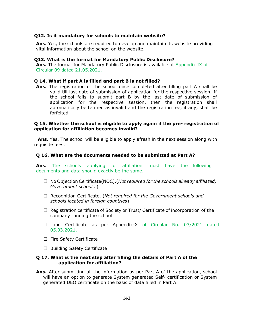#### Q12. Is it mandatory for schools to maintain website?

Ans. Yes, the schools are required to develop and maintain its website providing vital information about the school on the website.

#### Q13. What is the format for Mandatory Public Disclosure?

Ans. The format for Mandatory Public Disclosure is available at Appendix IX of Circular 09 dated 21.05.2021.

#### Q 14. What if part A is filled and part B is not filled?

Ans. The registration of the school once completed after filling part A shall be valid till last date of submission of application for the respective session. If the school fails to submit part B by the last date of submission of application for the respective session, then the registration shall automatically be termed as invalid and the registration fee, if any, shall be forfeited.

#### Q 15. Whether the school is eligible to apply again if the pre- registration of application for affiliation becomes invalid?

Ans. Yes. The school will be eligible to apply afresh in the next session along with requisite fees.

#### Q 16. What are the documents needed to be submitted at Part A?

Ans. The schools applying for affiliation must have the following documents and data should exactly be the same.

- $\Box$  No Objection Certificate(NOC).(Not required for the schools already affiliated, Government schools )
- $\Box$  Recognition Certificate. (Not required for the Government schools and schools located in foreign countries)
- $\Box$  Registration certificate of Society or Trust/ Certificate of incorporation of the company running the school
- $\Box$  Land Certificate as per Appendix-X of Circular No. 03/2021 dated 05.03.2021.
- $\Box$  Fire Safety Certificate
- $\Box$  Building Safety Certificate

#### Q 17. What is the next step after filling the details of Part A of the application for affiliation?

Ans. After submitting all the information as per Part A of the application, school will have an option to generate System generated Self- certification or System generated DEO certificate on the basis of data filled in Part A.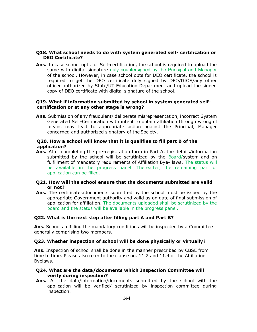## Q18. What school needs to do with system generated self- certification or DEO Certificate?

Ans. In case school opts for Self-certification, the school is required to upload the same with digital signature duly countersigned by the Principal and Manager of the school. However, in case school opts for DEO certificate, the school is required to get the DEO certificate duly signed by DEO/DIOS/any other officer authorized by State/UT Education Department and upload the signed copy of DEO certificate with digital signature of the school.

## Q19. What if information submitted by school in system generated selfcertification or at any other stage is wrong?

Ans. Submission of any fraudulent/ deliberate misrepresentation, incorrect System Generated Self-Certification with intent to obtain affiliation through wrongful means may lead to appropriate action against the Principal, Manager concerned and authorized signatory of the Society.

## Q20. How a school will know that it is qualifies to fill part B of the application?

Ans. After completing the pre-registration form in Part A, the details/information submitted by the school will be scrutinized by the Board/system and on fulfillment of mandatory requirements of Affiliation Bye- laws. The status will be available in the progress panel. Thereafter, the remaining part of application can be filled.

## Q21. How will the school ensure that the documents submitted are valid or not?

Ans. The certificates/documents submitted by the school must be issued by the appropriate Government authority and valid as on date of final submission of application for affiliation. The documents uploaded shall be scrutinized by the board and the status will be available in the progress panel.

## Q22. What is the next step after filling part A and Part B?

Ans. Schools fulfilling the mandatory conditions will be inspected by a Committee generally comprising two members.

## Q23. Whether inspection of school will be done physically or virtually?

Ans. Inspection of school shall be done in the manner prescribed by CBSE from time to time. Please also refer to the clause no. 11.2 and 11.4 of the Affiliation Byelaws.

## Q24. What are the data/documents which Inspection Committee will verify during inspection?

Ans. All the data/information/documents submitted by the school with the application will be verified/ scrutinized by inspection committee during inspection.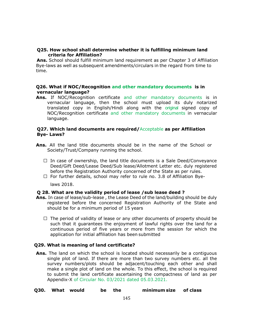## Q25. How school shall determine whether it is fulfilling minimum land criteria for Affiliation?

Ans. School should fulfill minimum land requirement as per Chapter 3 of Affiliation Bye-laws as well as subsequent amendments/circulars in the regard from time to time.

## Q26. What if NOC/Recognition and other mandatory documents is in vernacular language?

Ans. If NOC/Recognition certificate and other mandatory documents is in vernacular language, then the school must upload its duly notarized translated copy in English/Hindi along with the original signed copy of NOC/Recognition certificate and other mandatory documents in vernacular language.

## Q27. Which land documents are required/Acceptable as per Affiliation Bye- Laws?

- Ans. All the land title documents should be in the name of the School or Society/Trust/Company running the school.
	- $\Box$  In case of ownership, the land title documents is a Sale Deed/Conveyance Deed/Gift Deed/Lease Deed/Sub lease/Allotment Letter etc. duly registered before the Registration Authority concerned of the State as per rules.
	- $\Box$  For further details, school may refer to rule no. 3.8 of Affiliation Bye-

laws 2018.

## Q 28. What are the validity period of lease /sub lease deed ?

- Ans. In case of lease/sub-lease, the Lease Deed of the land/building should be duly registered before the concerned Registration Authority of the State and should be for a minimum period of 15 years
	- $\Box$  The period of validity of lease or any other documents of property should be such that it guarantees the enjoyment of lawful rights over the land for a continuous period of five years or more from the session for which the application for initial affiliation has been submitted

## Q29. What is meaning of land certificate?

- Ans. The land on which the school is located should necessarily be a contiguous single plot of land. If there are more than two survey numbers etc. all the survey numbers/plots should be adjacent/touching each other and shall make a single plot of land on the whole. To this effect, the school is required to submit the land certificate ascertaining the compactness of land as per Appendix-X of Circular No. 03/2021 dated 05.03.2021.
- Q30. What would be the minimum size of class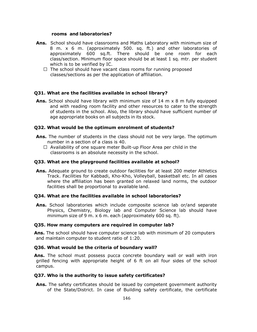#### rooms and laboratories?

- Ans. School should have classrooms and Maths Laboratory with minimum size of 8 m. x 6 m. (approximately 500. sq. ft.) and other laboratories of approximately 600 sq.ft. There should be one room for each class/section. Minimum floor space should be at least 1 sq. mtr. per student which is to be verified by IC.
	- $\Box$  The school should have vacant class rooms for running proposed classes/sections as per the application of affiliation.

#### Q31. What are the facilities available in school library?

**Ans.** School should have library with minimum size of 14 m  $\times$  8 m fully equipped and with reading room facility and other resources to cater to the strength of students in the school. Also, the library should have sufficient number of age appropriate books on all subjects in its stock.

#### Q32. What would be the optimum enrolment of students?

- Ans. The number of students in the class should not be very large. The optimum number in a section of a class is 40.
	- $\Box$  Availability of one square meter Built-up Floor Area per child in the classrooms is an absolute necessity in the school.

#### Q33. What are the playground facilities available at school?

Ans. Adequate ground to create outdoor facilities for at least 200 meter Athletics Track. Facilities for Kabbadi, Kho-Kho, Volleyball, basketball etc. In all cases where the affiliation has been granted on relaxed land norms, the outdoor facilities shall be proportional to available land.

#### Q34. What are the facilities available in school laboratories?

Ans. School laboratories which include composite science lab or/and separate Physics, Chemistry, Biology lab and Computer Science lab should have minimum size of 9 m. x 6 m. each (approximately 600 sq. ft).

#### Q35. How many computers are required in computer lab?

Ans. The school should have computer science lab with minimum of 20 computers and maintain computer to student ratio of 1:20.

#### Q36. What would be the criteria of boundary wall?

Ans. The school must possess pucca concrete boundary wall or wall with iron grilled fencing with appropriate height of 6 ft on all four sides of the school campus.

#### Q37. Who is the authority to issue safety certificates?

Ans. The safety certificates should be issued by competent government authority of the State/District. In case of Building safety certificate, the certificate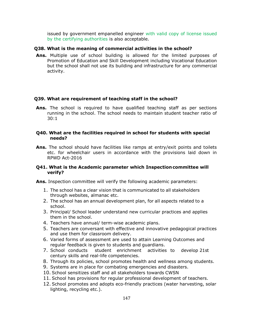issued by government empanelled engineer with valid copy of license issued by the certifying authorities is also acceptable.

#### Q38. What is the meaning of commercial activities in the school?

Ans. Multiple use of school building is allowed for the limited purposes of Promotion of Education and Skill Development including Vocational Education but the school shall not use its building and infrastructure for any commercial activity.

#### Q39. What are requirement of teaching staff in the school?

Ans. The school is required to have qualified teaching staff as per sections running in the school. The school needs to maintain student teacher ratio of 30:1

#### Q40. What are the facilities required in school for students with special needs?

Ans. The school should have facilities like ramps at entry/exit points and toilets etc. for wheelchair users in accordance with the provisions laid down in RPWD Act-2016

#### Q41. What is the Academic parameter which Inspection committee will verify?

Ans. Inspection committee will verify the following academic parameters:

- 1. The school has a clear vision that is communicated to all stakeholders through websites, almanac etc.
- 2. The school has an annual development plan, for all aspects related to a school.
- 3. Principal/ School leader understand new curricular practices and applies them in the school.
- 4. Teachers have annual/ term-wise academic plans.
- 5. Teachers are conversant with effective and innovative pedagogical practices and use them for classroom delivery.
- 6. Varied forms of assessment are used to attain Learning Outcomes and regular feedback is given to students and guardians.
- 7. School conducts student enrichment activities to develop 21st century skills and real-life competencies.
- 8. Through its policies, school promotes health and wellness among students.
- 9. Systems are in place for combating emergencies and disasters.
- 10. School sensitizes staff and all stakeholders towards CWSN
- 11. School has provisions for regular professional development of teachers.
- 12. School promotes and adopts eco-friendly practices (water harvesting, solar lighting, recycling etc.).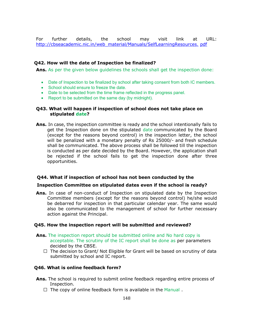For further details, the school may visit link at URL: http://cbseacademic.nic.in/web\_material/Manuals/SelfLearningResources. pdf

#### Q42. How will the date of Inspection be finalized?

Ans. As per the given below quidelines the schools shall get the inspection done:

- Date of Inspection to be finalized by school after taking consent from both IC members.
- School should ensure to freeze the date.
- Date to be selected from the time frame reflected in the progress panel.
- Report to be submitted on the same day (by midnight).

## Q43. What will happen if inspection of school does not take place on stipulated date?

Ans. In case, the inspection committee is ready and the school intentionally fails to get the Inspection done on the stipulated date communicated by the Board (except for the reasons beyond control) in the inspection letter, the school will be penalized with a monetary penalty of Rs 25000/- and fresh schedule shall be communicated. The above process shall be followed till the inspection is conducted as per date decided by the Board. However, the application shall be rejected if the school fails to get the inspection done after three opportunities.

## Q44. What if inspection of school has not been conducted by the

#### Inspection Committee on stipulated dates even if the school is ready?

Ans. In case of non-conduct of Inspection on stipulated date by the Inspection Committee members (except for the reasons beyond control) he/she would be debarred for inspection in that particular calendar year. The same would also be communicated to the management of school for further necessary action against the Principal.

#### Q45. How the inspection report will be submitted and reviewed?

- Ans. The inspection report should be submitted online and No hard copy is acceptable. The scrutiny of the IC report shall be done as per parameters decided by the CBSE.
	- $\Box$  The decision to Grant/ Not Eligible for Grant will be based on scrutiny of data submitted by school and IC report.

#### Q46. What is online feedback form?

- Ans. The school is required to submit online feedback regarding entire process of Inspection.
	- $\Box$  The copy of online feedback form is available in the Manual.